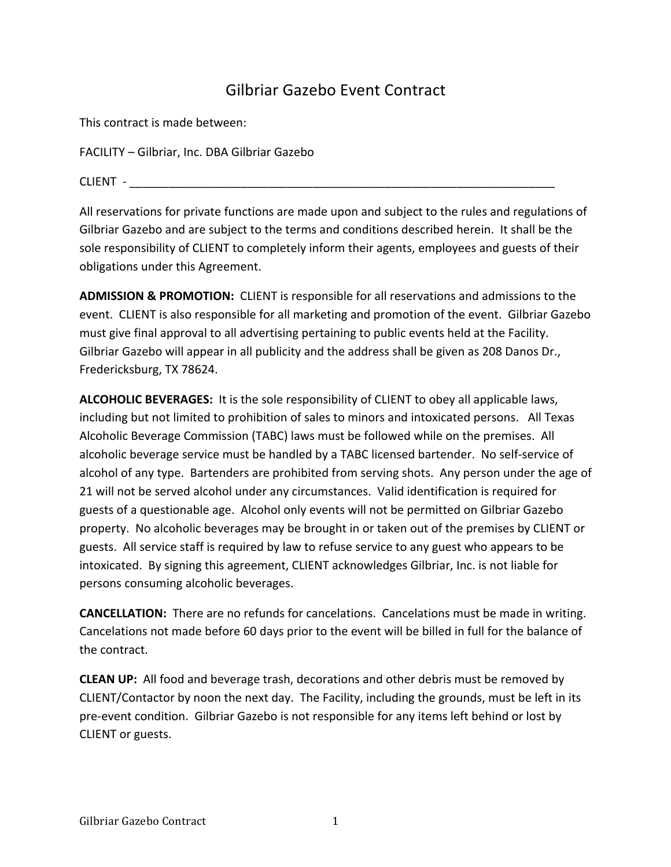## Gilbriar Gazebo Event Contract

This contract is made between:

FACILITY - Gilbriar, Inc. DBA Gilbriar Gazebo

CLIENT - \_\_\_\_\_\_\_\_\_\_\_\_\_\_\_\_\_\_\_\_\_\_\_\_\_\_\_\_\_\_\_\_\_\_\_\_\_\_\_\_\_\_\_\_\_\_\_\_\_\_\_\_\_\_\_\_\_\_\_\_\_\_\_\_\_

All reservations for private functions are made upon and subject to the rules and regulations of Gilbriar Gazebo and are subject to the terms and conditions described herein. It shall be the sole responsibility of CLIENT to completely inform their agents, employees and guests of their obligations under this Agreement.

**ADMISSION & PROMOTION:** CLIENT is responsible for all reservations and admissions to the event. CLIENT is also responsible for all marketing and promotion of the event. Gilbriar Gazebo must give final approval to all advertising pertaining to public events held at the Facility. Gilbriar Gazebo will appear in all publicity and the address shall be given as 208 Danos Dr., Fredericksburg, TX 78624.

**ALCOHOLIC BEVERAGES:** It is the sole responsibility of CLIENT to obey all applicable laws, including but not limited to prohibition of sales to minors and intoxicated persons. All Texas Alcoholic Beverage Commission (TABC) laws must be followed while on the premises. All alcoholic beverage service must be handled by a TABC licensed bartender. No self-service of alcohol of any type. Bartenders are prohibited from serving shots. Any person under the age of 21 will not be served alcohol under any circumstances. Valid identification is required for guests of a questionable age. Alcohol only events will not be permitted on Gilbriar Gazebo property. No alcoholic beverages may be brought in or taken out of the premises by CLIENT or guests. All service staff is required by law to refuse service to any guest who appears to be intoxicated. By signing this agreement, CLIENT acknowledges Gilbriar, Inc. is not liable for persons consuming alcoholic beverages.

**CANCELLATION:** There are no refunds for cancelations. Cancelations must be made in writing. Cancelations not made before 60 days prior to the event will be billed in full for the balance of the contract.

**CLEAN UP:** All food and beverage trash, decorations and other debris must be removed by CLIENT/Contactor by noon the next day. The Facility, including the grounds, must be left in its pre-event condition. Gilbriar Gazebo is not responsible for any items left behind or lost by CLIENT or guests.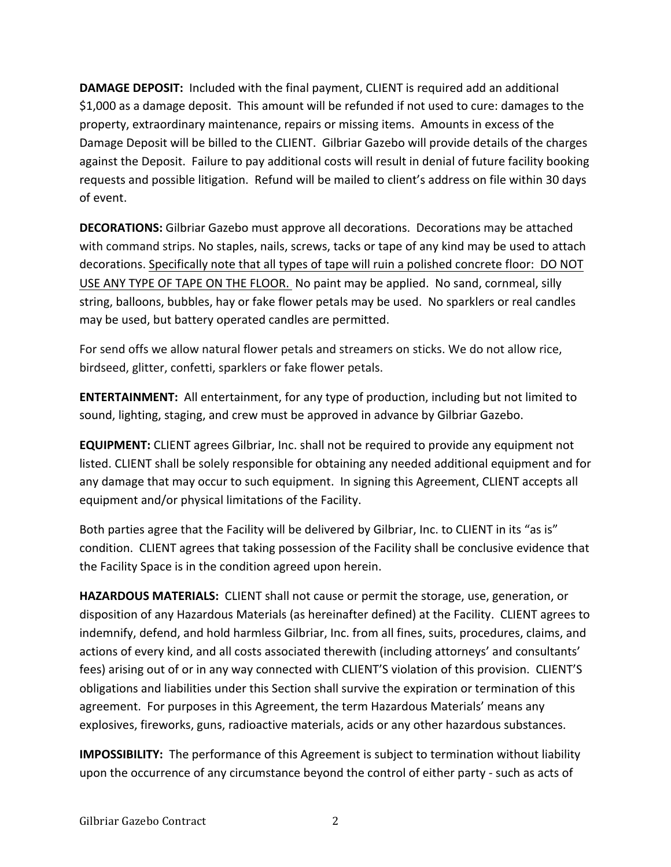**DAMAGE DEPOSIT:** Included with the final payment, CLIENT is required add an additional \$1,000 as a damage deposit. This amount will be refunded if not used to cure: damages to the property, extraordinary maintenance, repairs or missing items. Amounts in excess of the Damage Deposit will be billed to the CLIENT. Gilbriar Gazebo will provide details of the charges against the Deposit. Failure to pay additional costs will result in denial of future facility booking requests and possible litigation. Refund will be mailed to client's address on file within 30 days of event.

**DECORATIONS:** Gilbriar Gazebo must approve all decorations. Decorations may be attached with command strips. No staples, nails, screws, tacks or tape of any kind may be used to attach decorations. Specifically note that all types of tape will ruin a polished concrete floor: DO NOT USE ANY TYPE OF TAPE ON THE FLOOR. No paint may be applied. No sand, cornmeal, silly string, balloons, bubbles, hay or fake flower petals may be used. No sparklers or real candles may be used, but battery operated candles are permitted.

For send offs we allow natural flower petals and streamers on sticks. We do not allow rice, birdseed, glitter, confetti, sparklers or fake flower petals.

**ENTERTAINMENT:** All entertainment, for any type of production, including but not limited to sound, lighting, staging, and crew must be approved in advance by Gilbriar Gazebo.

**EQUIPMENT:** CLIENT agrees Gilbriar, Inc. shall not be required to provide any equipment not listed. CLIENT shall be solely responsible for obtaining any needed additional equipment and for any damage that may occur to such equipment. In signing this Agreement, CLIENT accepts all equipment and/or physical limitations of the Facility.

Both parties agree that the Facility will be delivered by Gilbriar, Inc. to CLIENT in its "as is" condition. CLIENT agrees that taking possession of the Facility shall be conclusive evidence that the Facility Space is in the condition agreed upon herein.

HAZARDOUS MATERIALS: CLIENT shall not cause or permit the storage, use, generation, or disposition of any Hazardous Materials (as hereinafter defined) at the Facility. CLIENT agrees to indemnify, defend, and hold harmless Gilbriar, Inc. from all fines, suits, procedures, claims, and actions of every kind, and all costs associated therewith (including attorneys' and consultants' fees) arising out of or in any way connected with CLIENT'S violation of this provision. CLIENT'S obligations and liabilities under this Section shall survive the expiration or termination of this agreement. For purposes in this Agreement, the term Hazardous Materials' means any explosives, fireworks, guns, radioactive materials, acids or any other hazardous substances.

**IMPOSSIBILITY:** The performance of this Agreement is subject to termination without liability upon the occurrence of any circumstance beyond the control of either party - such as acts of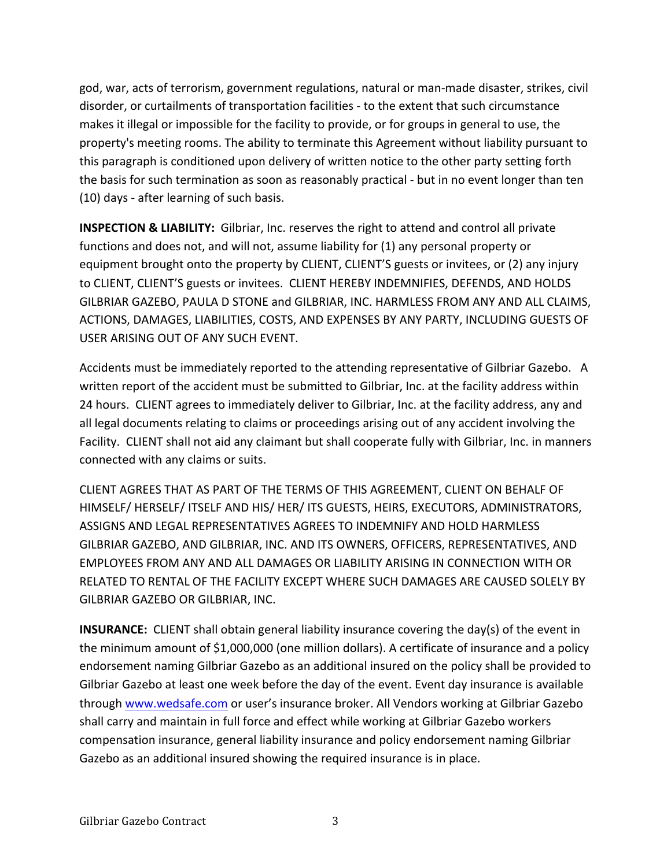god, war, acts of terrorism, government regulations, natural or man-made disaster, strikes, civil disorder, or curtailments of transportation facilities - to the extent that such circumstance makes it illegal or impossible for the facility to provide, or for groups in general to use, the property's meeting rooms. The ability to terminate this Agreement without liability pursuant to this paragraph is conditioned upon delivery of written notice to the other party setting forth the basis for such termination as soon as reasonably practical - but in no event longer than ten (10) days - after learning of such basis.

**INSPECTION & LIABILITY:** Gilbriar, Inc. reserves the right to attend and control all private functions and does not, and will not, assume liability for (1) any personal property or equipment brought onto the property by CLIENT, CLIENT'S guests or invitees, or (2) any injury to CLIENT, CLIENT'S guests or invitees. CLIENT HEREBY INDEMNIFIES, DEFENDS, AND HOLDS GILBRIAR GAZEBO, PAULA D STONE and GILBRIAR, INC. HARMLESS FROM ANY AND ALL CLAIMS, ACTIONS, DAMAGES, LIABILITIES, COSTS, AND EXPENSES BY ANY PARTY, INCLUDING GUESTS OF USER ARISING OUT OF ANY SUCH EVENT.

Accidents must be immediately reported to the attending representative of Gilbriar Gazebo. A written report of the accident must be submitted to Gilbriar, Inc. at the facility address within 24 hours. CLIENT agrees to immediately deliver to Gilbriar, Inc. at the facility address, any and all legal documents relating to claims or proceedings arising out of any accident involving the Facility. CLIENT shall not aid any claimant but shall cooperate fully with Gilbriar, Inc. in manners connected with any claims or suits.

CLIENT AGREES THAT AS PART OF THE TERMS OF THIS AGREEMENT, CLIENT ON BEHALF OF HIMSELF/ HERSELF/ ITSELF AND HIS/ HER/ ITS GUESTS, HEIRS, EXECUTORS, ADMINISTRATORS, ASSIGNS AND LEGAL REPRESENTATIVES AGREES TO INDEMNIFY AND HOLD HARMLESS GILBRIAR GAZEBO, AND GILBRIAR, INC. AND ITS OWNERS, OFFICERS, REPRESENTATIVES, AND EMPLOYEES FROM ANY AND ALL DAMAGES OR LIABILITY ARISING IN CONNECTION WITH OR RELATED TO RENTAL OF THE FACILITY EXCEPT WHERE SUCH DAMAGES ARE CAUSED SOLELY BY GILBRIAR GAZEBO OR GILBRIAR, INC.

**INSURANCE:** CLIENT shall obtain general liability insurance covering the day(s) of the event in the minimum amount of \$1,000,000 (one million dollars). A certificate of insurance and a policy endorsement naming Gilbriar Gazebo as an additional insured on the policy shall be provided to Gilbriar Gazebo at least one week before the day of the event. Event day insurance is available through www.wedsafe.com or user's insurance broker. All Vendors working at Gilbriar Gazebo shall carry and maintain in full force and effect while working at Gilbriar Gazebo workers compensation insurance, general liability insurance and policy endorsement naming Gilbriar Gazebo as an additional insured showing the required insurance is in place.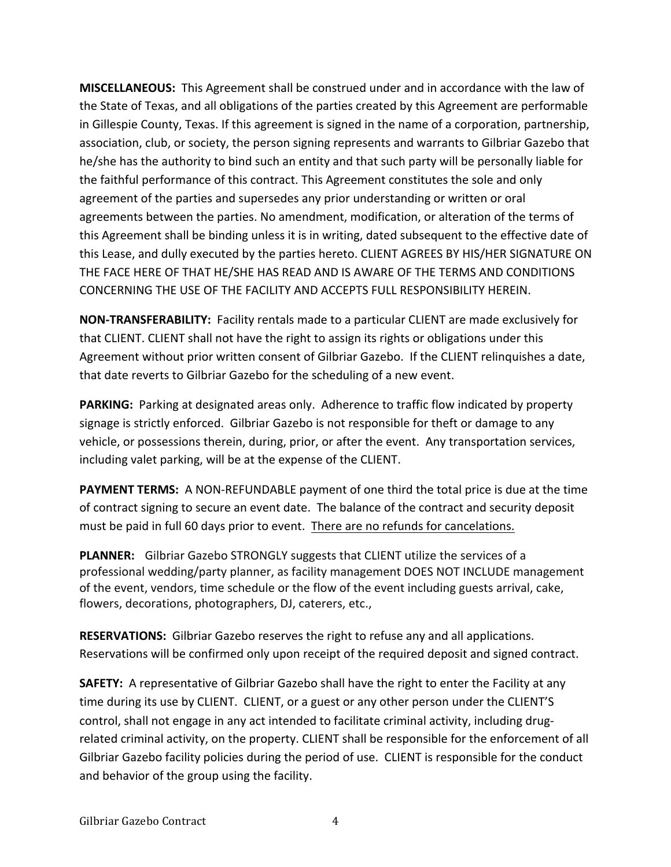**MISCELLANEOUS:** This Agreement shall be construed under and in accordance with the law of the State of Texas, and all obligations of the parties created by this Agreement are performable in Gillespie County, Texas. If this agreement is signed in the name of a corporation, partnership, association, club, or society, the person signing represents and warrants to Gilbriar Gazebo that he/she has the authority to bind such an entity and that such party will be personally liable for the faithful performance of this contract. This Agreement constitutes the sole and only agreement of the parties and supersedes any prior understanding or written or oral agreements between the parties. No amendment, modification, or alteration of the terms of this Agreement shall be binding unless it is in writing, dated subsequent to the effective date of this Lease, and dully executed by the parties hereto. CLIENT AGREES BY HIS/HER SIGNATURE ON THE FACE HERE OF THAT HE/SHE HAS READ AND IS AWARE OF THE TERMS AND CONDITIONS CONCERNING THE USE OF THE FACILITY AND ACCEPTS FULL RESPONSIBILITY HEREIN.

**NON-TRANSFERABILITY:** Facility rentals made to a particular CLIENT are made exclusively for that CLIENT. CLIENT shall not have the right to assign its rights or obligations under this Agreement without prior written consent of Gilbriar Gazebo. If the CLIENT relinquishes a date, that date reverts to Gilbriar Gazebo for the scheduling of a new event.

PARKING: Parking at designated areas only. Adherence to traffic flow indicated by property signage is strictly enforced. Gilbriar Gazebo is not responsible for theft or damage to any vehicle, or possessions therein, during, prior, or after the event. Any transportation services, including valet parking, will be at the expense of the CLIENT.

**PAYMENT TERMS:** A NON-REFUNDABLE payment of one third the total price is due at the time of contract signing to secure an event date. The balance of the contract and security deposit must be paid in full 60 days prior to event. There are no refunds for cancelations.

**PLANNER:** Gilbriar Gazebo STRONGLY suggests that CLIENT utilize the services of a professional wedding/party planner, as facility management DOES NOT INCLUDE management of the event, vendors, time schedule or the flow of the event including guests arrival, cake, flowers, decorations, photographers, DJ, caterers, etc.,

**RESERVATIONS:** Gilbriar Gazebo reserves the right to refuse any and all applications. Reservations will be confirmed only upon receipt of the required deposit and signed contract.

**SAFETY:** A representative of Gilbriar Gazebo shall have the right to enter the Facility at any time during its use by CLIENT. CLIENT, or a guest or any other person under the CLIENT'S control, shall not engage in any act intended to facilitate criminal activity, including drugrelated criminal activity, on the property. CLIENT shall be responsible for the enforcement of all Gilbriar Gazebo facility policies during the period of use. CLIENT is responsible for the conduct and behavior of the group using the facility.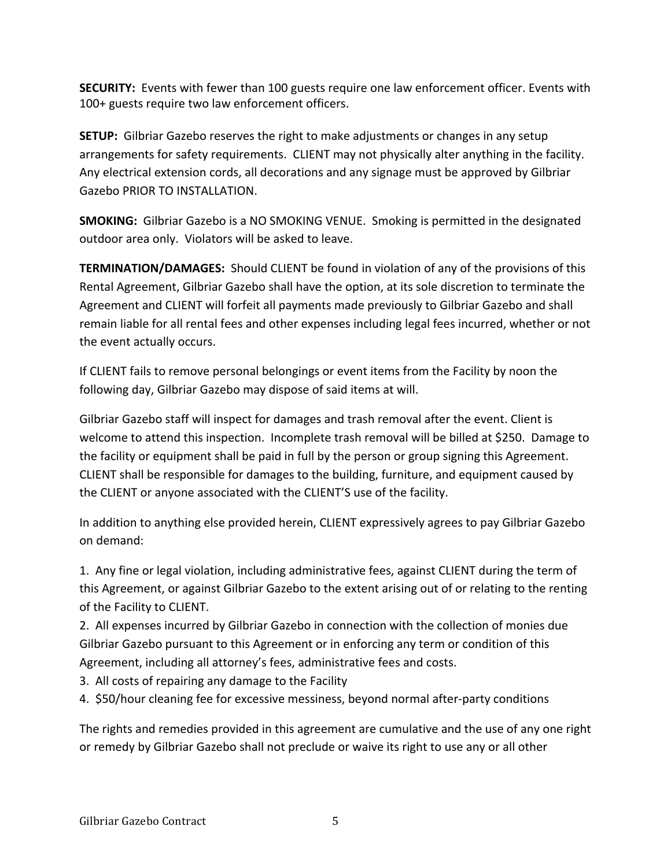**SECURITY:** Events with fewer than 100 guests require one law enforcement officer. Events with 100+ guests require two law enforcement officers.

**SETUP:** Gilbriar Gazebo reserves the right to make adjustments or changes in any setup arrangements for safety requirements. CLIENT may not physically alter anything in the facility. Any electrical extension cords, all decorations and any signage must be approved by Gilbriar Gazebo PRIOR TO INSTALLATION.

**SMOKING:** Gilbriar Gazebo is a NO SMOKING VENUE. Smoking is permitted in the designated outdoor area only. Violators will be asked to leave.

**TERMINATION/DAMAGES:** Should CLIENT be found in violation of any of the provisions of this Rental Agreement, Gilbriar Gazebo shall have the option, at its sole discretion to terminate the Agreement and CLIENT will forfeit all payments made previously to Gilbriar Gazebo and shall remain liable for all rental fees and other expenses including legal fees incurred, whether or not the event actually occurs.

If CLIENT fails to remove personal belongings or event items from the Facility by noon the following day, Gilbriar Gazebo may dispose of said items at will.

Gilbriar Gazebo staff will inspect for damages and trash removal after the event. Client is welcome to attend this inspection. Incomplete trash removal will be billed at \$250. Damage to the facility or equipment shall be paid in full by the person or group signing this Agreement. CLIENT shall be responsible for damages to the building, furniture, and equipment caused by the CLIENT or anyone associated with the CLIENT'S use of the facility.

In addition to anything else provided herein, CLIENT expressively agrees to pay Gilbriar Gazebo on demand:

1. Any fine or legal violation, including administrative fees, against CLIENT during the term of this Agreement, or against Gilbriar Gazebo to the extent arising out of or relating to the renting of the Facility to CLIENT.

2. All expenses incurred by Gilbriar Gazebo in connection with the collection of monies due Gilbriar Gazebo pursuant to this Agreement or in enforcing any term or condition of this Agreement, including all attorney's fees, administrative fees and costs.

3. All costs of repairing any damage to the Facility

4. \$50/hour cleaning fee for excessive messiness, beyond normal after-party conditions

The rights and remedies provided in this agreement are cumulative and the use of any one right or remedy by Gilbriar Gazebo shall not preclude or waive its right to use any or all other